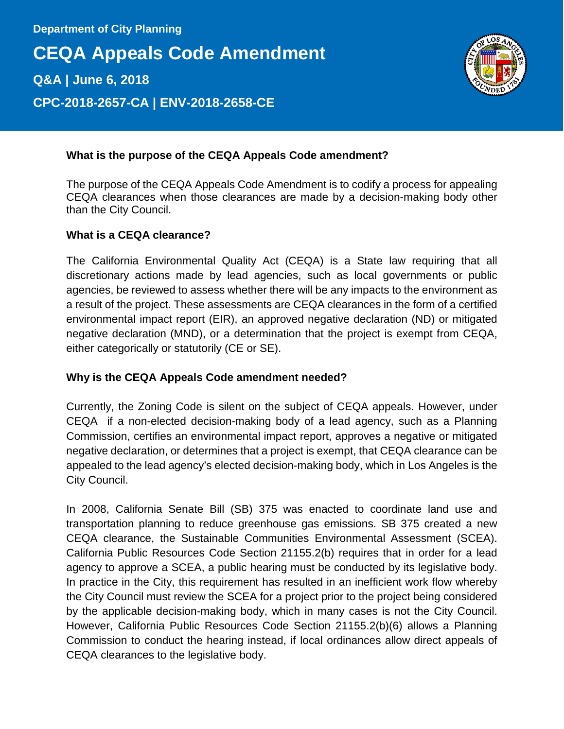**CEQA Appeals Code Amendment Q&A | June 6, 2018 CPC-2018-2657-CA | ENV-2018-2658-CE**



# **What is the purpose of the CEQA Appeals Code amendment?**

The purpose of the CEQA Appeals Code Amendment is to codify a process for appealing CEQA clearances when those clearances are made by a decision-making body other than the City Council.

### **What is a CEQA clearance?**

The California Environmental Quality Act (CEQA) is a State law requiring that all discretionary actions made by lead agencies, such as local governments or public agencies, be reviewed to assess whether there will be any impacts to the environment as a result of the project. These assessments are CEQA clearances in the form of a certified environmental impact report (EIR), an approved negative declaration (ND) or mitigated negative declaration (MND), or a determination that the project is exempt from CEQA, either categorically or statutorily (CE or SE).

### **Why is the CEQA Appeals Code amendment needed?**

Currently, the Zoning Code is silent on the subject of CEQA appeals. However, under CEQA if a non-elected decision-making body of a lead agency, such as a Planning Commission, certifies an environmental impact report, approves a negative or mitigated negative declaration, or determines that a project is exempt, that CEQA clearance can be appealed to the lead agency's elected decision-making body, which in Los Angeles is the City Council.

In 2008, California Senate Bill (SB) 375 was enacted to coordinate land use and transportation planning to reduce greenhouse gas emissions. SB 375 created a new CEQA clearance, the Sustainable Communities Environmental Assessment (SCEA). California Public Resources Code Section 21155.2(b) requires that in order for a lead agency to approve a SCEA, a public hearing must be conducted by its legislative body. In practice in the City, this requirement has resulted in an inefficient work flow whereby the City Council must review the SCEA for a project prior to the project being considered by the applicable decision-making body, which in many cases is not the City Council. However, California Public Resources Code Section 21155.2(b)(6) allows a Planning Commission to conduct the hearing instead, if local ordinances allow direct appeals of CEQA clearances to the legislative body.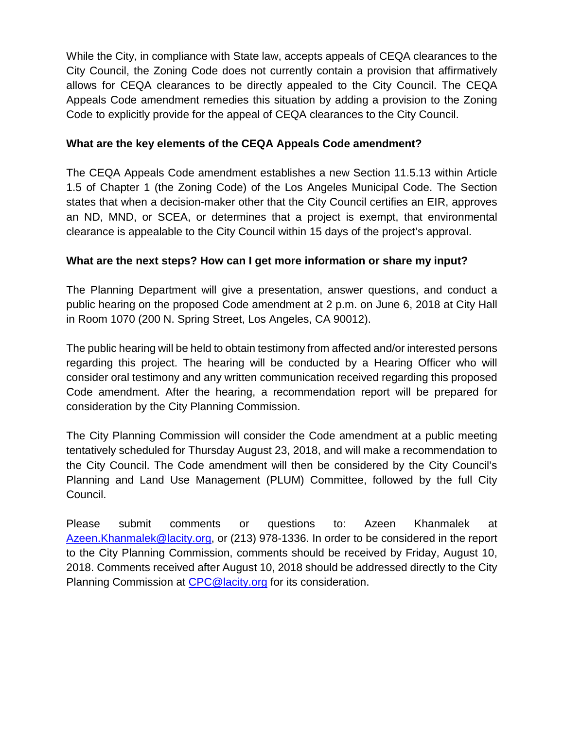While the City, in compliance with State law, accepts appeals of CEQA clearances to the City Council, the Zoning Code does not currently contain a provision that affirmatively allows for CEQA clearances to be directly appealed to the City Council. The CEQA Appeals Code amendment remedies this situation by adding a provision to the Zoning Code to explicitly provide for the appeal of CEQA clearances to the City Council.

# **What are the key elements of the CEQA Appeals Code amendment?**

The CEQA Appeals Code amendment establishes a new Section 11.5.13 within Article 1.5 of Chapter 1 (the Zoning Code) of the Los Angeles Municipal Code. The Section states that when a decision-maker other that the City Council certifies an EIR, approves an ND, MND, or SCEA, or determines that a project is exempt, that environmental clearance is appealable to the City Council within 15 days of the project's approval.

# **What are the next steps? How can I get more information or share my input?**

The Planning Department will give a presentation, answer questions, and conduct a public hearing on the proposed Code amendment at 2 p.m. on June 6, 2018 at City Hall in Room 1070 (200 N. Spring Street, Los Angeles, CA 90012).

The public hearing will be held to obtain testimony from affected and/or interested persons regarding this project. The hearing will be conducted by a Hearing Officer who will consider oral testimony and any written communication received regarding this proposed Code amendment. After the hearing, a recommendation report will be prepared for consideration by the City Planning Commission.

The City Planning Commission will consider the Code amendment at a public meeting tentatively scheduled for Thursday August 23, 2018, and will make a recommendation to the City Council. The Code amendment will then be considered by the City Council's Planning and Land Use Management (PLUM) Committee, followed by the full City Council.

Please submit comments or questions to: Azeen Khanmalek at [Azeen.Khanmalek@lacity.org,](mailto:Azeen.Khanmalek@lacity.org) or (213) 978-1336. In order to be considered in the report to the City Planning Commission, comments should be received by Friday, August 10, 2018. Comments received after August 10, 2018 should be addressed directly to the City Planning Commission at [CPC@lacity.org](mailto:CPC@lacity.org) for its consideration.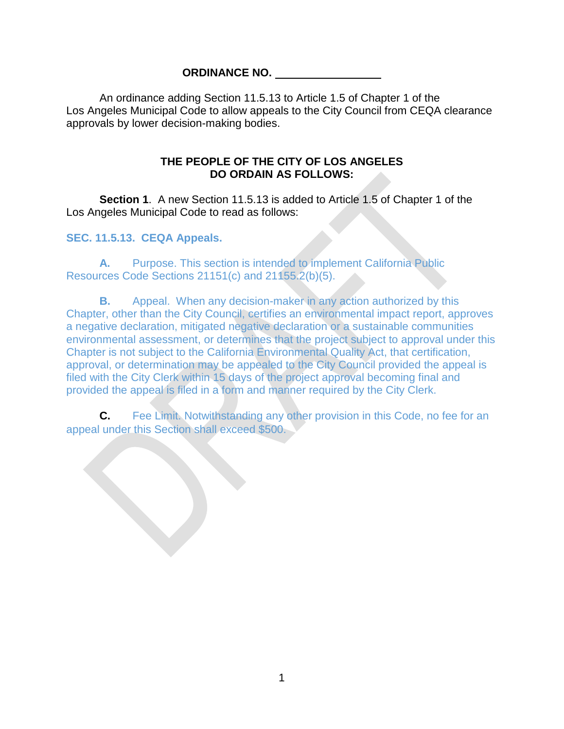### **ORDINANCE NO.**

An ordinance adding Section 11.5.13 to Article 1.5 of Chapter 1 of the Los Angeles Municipal Code to allow appeals to the City Council from CEQA clearance approvals by lower decision-making bodies.

## **THE PEOPLE OF THE CITY OF LOS ANGELES DO ORDAIN AS FOLLOWS:**

**Section 1**. A new Section 11.5.13 is added to Article 1.5 of Chapter 1 of the Los Angeles Municipal Code to read as follows:

## **SEC. 11.5.13. CEQA Appeals.**

**A.** Purpose. This section is intended to implement California Public Resources Code Sections 21151(c) and 21155.2(b)(5).

**B.** Appeal. When any decision-maker in any action authorized by this Chapter, other than the City Council, certifies an environmental impact report, approves a negative declaration, mitigated negative declaration or a sustainable communities environmental assessment, or determines that the project subject to approval under this Chapter is not subject to the California Environmental Quality Act, that certification, approval, or determination may be appealed to the City Council provided the appeal is filed with the City Clerk within 15 days of the project approval becoming final and provided the appeal is filed in a form and manner required by the City Clerk.

**C.** Fee Limit. Notwithstanding any other provision in this Code, no fee for an appeal under this Section shall exceed \$500.